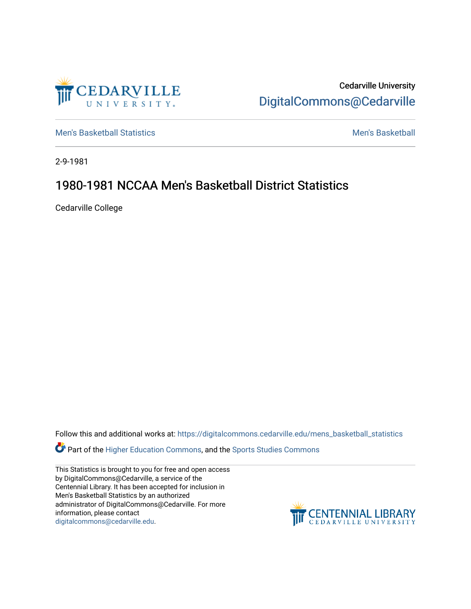

Cedarville University [DigitalCommons@Cedarville](https://digitalcommons.cedarville.edu/) 

[Men's Basketball Statistics](https://digitalcommons.cedarville.edu/mens_basketball_statistics) [Men's Basketball](https://digitalcommons.cedarville.edu/mens_basketball) 

2-9-1981

# 1980-1981 NCCAA Men's Basketball District Statistics

Cedarville College

Follow this and additional works at: [https://digitalcommons.cedarville.edu/mens\\_basketball\\_statistics](https://digitalcommons.cedarville.edu/mens_basketball_statistics?utm_source=digitalcommons.cedarville.edu%2Fmens_basketball_statistics%2F449&utm_medium=PDF&utm_campaign=PDFCoverPages) 

Part of the [Higher Education Commons,](http://network.bepress.com/hgg/discipline/1245?utm_source=digitalcommons.cedarville.edu%2Fmens_basketball_statistics%2F449&utm_medium=PDF&utm_campaign=PDFCoverPages) and the [Sports Studies Commons](http://network.bepress.com/hgg/discipline/1198?utm_source=digitalcommons.cedarville.edu%2Fmens_basketball_statistics%2F449&utm_medium=PDF&utm_campaign=PDFCoverPages) 

This Statistics is brought to you for free and open access by DigitalCommons@Cedarville, a service of the Centennial Library. It has been accepted for inclusion in Men's Basketball Statistics by an authorized administrator of DigitalCommons@Cedarville. For more information, please contact [digitalcommons@cedarville.edu](mailto:digitalcommons@cedarville.edu).

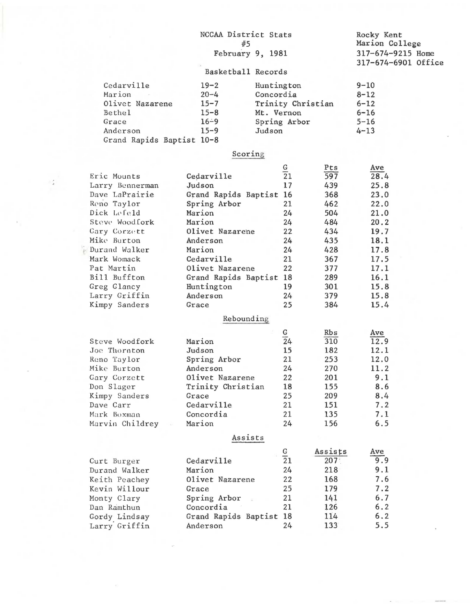|                           | NCCAA District Stats<br>#5 | Rocky Kent<br>Marion College |                  |                                          |  |
|---------------------------|----------------------------|------------------------------|------------------|------------------------------------------|--|
|                           | February 9, 1981           |                              |                  | 317-674-9215 Home<br>317-674-6901 Office |  |
|                           | Basketball Records         |                              |                  |                                          |  |
| Cedarville                | $19 - 2$                   | Huntington                   |                  | $9 - 10$                                 |  |
| Marion                    | $20 - 4$                   | Concordia                    |                  | $8 - 12$                                 |  |
| Olivet Nazarene           | $15 - 7$                   | Trinity Christian            |                  | $6 - 12$                                 |  |
| Bethe1                    | $15 - 8$                   | Mt. Vernon                   |                  | $6 - 16$                                 |  |
| Grace                     | $16 - 9$                   | Spring Arbor                 |                  | $5 - 16$                                 |  |
| Anderson                  | $15 - 9$                   | Judson                       |                  | $4 - 13$                                 |  |
| Grand Rapids Baptist 10-8 |                            |                              |                  |                                          |  |
|                           | Scoring                    |                              |                  |                                          |  |
|                           |                            |                              | Pts              | Ave                                      |  |
| Eric Mounts               | Cedarville                 | $rac{G}{21}$                 | 597              | 28.4                                     |  |
| Larry Bennerman           | Judson                     | 17                           | 439              | 25.8                                     |  |
| Dave LaPrairie            | Grand Rapids Baptist 16    |                              | 368              | 23.0                                     |  |
| Reno Taylor               | Spring Arbor               | 21                           | 462              | 22.0                                     |  |
| Dick Lefeld               | Marion                     | 24                           | 504              | 21.0                                     |  |
| Steve Woodfork            | Marion                     | 24                           | 484              | 20.2                                     |  |
| Cary Corzett              | Olivet Nazarene            | 22                           | 434              | 19.7                                     |  |
| Mike Burton               | Anderson                   | 24                           | 435              | 18.1                                     |  |
| Durand Walker             | Marion                     | 24                           | 428              | 17.8                                     |  |
| Mark Womack               | Cedarville                 | 21                           | 367              | 17.5                                     |  |
| Pat Martin                | Olivet Nazarene            | 22                           | 377              | 17.1                                     |  |
| Bill Buffton              | Grand Rapids Baptist 18    |                              | 289              | 16.1                                     |  |
| Greg Glancy               | Huntington                 | 19                           | 301              | 15.8                                     |  |
| Larry Griffin             | Anderson                   | 24                           | 379              | 15.8                                     |  |
| Kimpy Sanders             | Grace                      | 25                           | 384              | 15.4                                     |  |
|                           | Rebounding                 |                              |                  |                                          |  |
|                           |                            | G                            | Rbs              | Ave                                      |  |
| Steve Woodfork            | Marion                     | $\overline{2}4$              | 310              | 12.9                                     |  |
| Joe Thornton              | Judson                     | 15                           | 182              | 12.1                                     |  |
| Reno Taylor               | Spring Arbor               | 21                           | 253              | 12.0                                     |  |
| Mike Burton               | Anderson                   | 24                           | 270              | 11.2                                     |  |
| Gary Corzett              | Olivet Nazarene            | 22                           | 201              | 9.1                                      |  |
| Don Slager                | Trinity Christian          | 18                           | 155              | 8.6                                      |  |
| Kimpy Sanders             | Grace                      | 25                           | 209              | 8,4                                      |  |
| Dave Carr                 | Cedarville                 | 21                           | 151              | 7.2                                      |  |
| Mark Boxman               | Concordia                  | 21                           | 135              | 7.1                                      |  |
| Marvin Childrey           | Marion                     | 24                           | 156              | 6.5                                      |  |
|                           | Assists                    |                              |                  |                                          |  |
|                           |                            |                              | Assists          | Ave                                      |  |
| Curt Burger               | Cedarville                 | $\frac{G}{21}$               | 207 <sub>1</sub> | 9.9                                      |  |
| Durand Walker             | Marion                     | 24                           | 218              | 9.1                                      |  |
| Keith Peachey             | Olivet Nazarene            | 22                           | 168              | 7.6                                      |  |
| Kevin Willour             | Grace                      | 25                           | 179              | 7.2                                      |  |
| Monty Clary               | Spring Arbor               | 21                           | 141              | 6.7                                      |  |
| Dan Ramthun               | Concordia                  | 21                           | 126              | 6.2                                      |  |
| Gordy Lindsay             | Grand Rapids Baptist 18    |                              | 114              | 6.2                                      |  |
| Larry Griffin             | Anderson                   | 24                           | 133              | 5.5                                      |  |
|                           |                            |                              |                  |                                          |  |